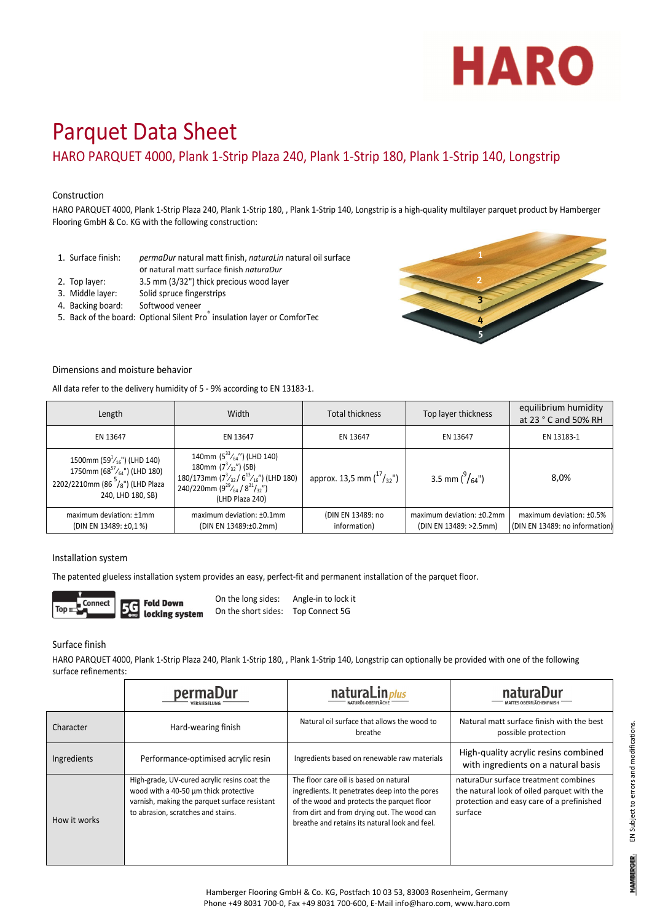

# Parquet Data Sheet

HARO PARQUET 4000, Plank 1‐Strip Plaza 240, Plank 1‐Strip 180, Plank 1‐Strip 140, Longstrip

#### Construction

HARO PARQUET 4000, Plank 1‐Strip Plaza 240, Plank 1‐Strip 180, , Plank 1‐Strip 140, Longstrip is a high‐quality multilayer parquet product by Hamberger Flooring GmbH & Co. KG with the following construction:

- 1. Surface finish: *permaDur* natural matt finish, *naturaLin* natural oil surface or natural matt surface finish *naturaDur*
- 
- 2. Top layer: 3.5 mm (3/32") thick precious wood layer
- 3. Middle layer: Solid spruce fingerstrips
- 4. Backing board: Softwood veneer
- 5. Back of the board: Optional Silent Pro<sup>®</sup> insulation layer or ComforTec



#### Dimensions and moisture behavior

All data refer to the delivery humidity of 5 ‐ 9% according to EN 13183‐1.

| Length                                                                                                                               | Width                                                                                                                                                                                     | <b>Total thickness</b>              | Top layer thickness                                 | equilibrium humidity<br>at 23 ° C and 50% RH               |
|--------------------------------------------------------------------------------------------------------------------------------------|-------------------------------------------------------------------------------------------------------------------------------------------------------------------------------------------|-------------------------------------|-----------------------------------------------------|------------------------------------------------------------|
| EN 13647                                                                                                                             | EN 13647                                                                                                                                                                                  | EN 13647                            | EN 13647                                            | EN 13183-1                                                 |
| 1500mm (59 $^1/16$ ") (LHD 140)<br>1750mm (68 $57/64$ ") (LHD 180)<br>2202/2210mm (86 $^{5}/_{8}$ ") (LHD Plaza<br>240, LHD 180, SB) | 140mm $(5^{33}/_{64}^{\prime\prime})$ (LHD 140)<br>180mm $(7^3/\gamma^2)$ (SB)<br>180/173mm $(7^3/37/6^{13}/16)$ (LHD 180)<br>240/220mm $(9^{29}/_{64}/ 8^{21}/_{32})$<br>(LHD Plaza 240) | approx. 13,5 mm $\binom{17}{3}$ ,") | 3.5 mm $\binom{9}{64}$ ")                           | 8,0%                                                       |
| maximum deviation: ±1mm<br>(DIN EN 13489: ±0,1 %)                                                                                    | maximum deviation: ±0.1mm<br>(DIN EN 13489:±0.2mm)                                                                                                                                        | (DIN EN 13489: no<br>information)   | maximum deviation: ±0.2mm<br>(DIN EN 13489: >2.5mm) | maximum deviation: ±0.5%<br>(DIN EN 13489: no information) |

#### Installation system

The patented glueless installation system provides an easy, perfect-fit and permanent installation of the parquet floor.



On the long sides: Angle‐in to lock it On the short sides: Top Connect 5G

Surface finish

HARO PARQUET 4000, Plank 1‐Strip Plaza 240, Plank 1‐Strip 180, , Plank 1‐Strip 140, Longstrip can optionally be provided with one of the following surface refinements:

|              | permaDur                                                                                                                                                                     | naturaLin <sub>plus</sub>                                                                                                                                                                                                               | naturaDur<br>MATTES OBERFLÄCHENFINISI                                                                                                      |
|--------------|------------------------------------------------------------------------------------------------------------------------------------------------------------------------------|-----------------------------------------------------------------------------------------------------------------------------------------------------------------------------------------------------------------------------------------|--------------------------------------------------------------------------------------------------------------------------------------------|
| Character    | Hard-wearing finish                                                                                                                                                          | Natural oil surface that allows the wood to<br>breathe                                                                                                                                                                                  | Natural matt surface finish with the best<br>possible protection                                                                           |
| Ingredients  | Performance-optimised acrylic resin                                                                                                                                          | Ingredients based on renewable raw materials                                                                                                                                                                                            | High-quality acrylic resins combined<br>with ingredients on a natural basis                                                                |
| How it works | High-grade, UV-cured acrylic resins coat the<br>wood with a 40-50 um thick protective<br>varnish, making the parquet surface resistant<br>to abrasion, scratches and stains. | The floor care oil is based on natural<br>ingredients. It penetrates deep into the pores<br>of the wood and protects the parquet floor<br>from dirt and from drying out. The wood can<br>breathe and retains its natural look and feel. | naturaDur surface treatment combines<br>the natural look of oiled parquet with the<br>protection and easy care of a prefinished<br>surface |